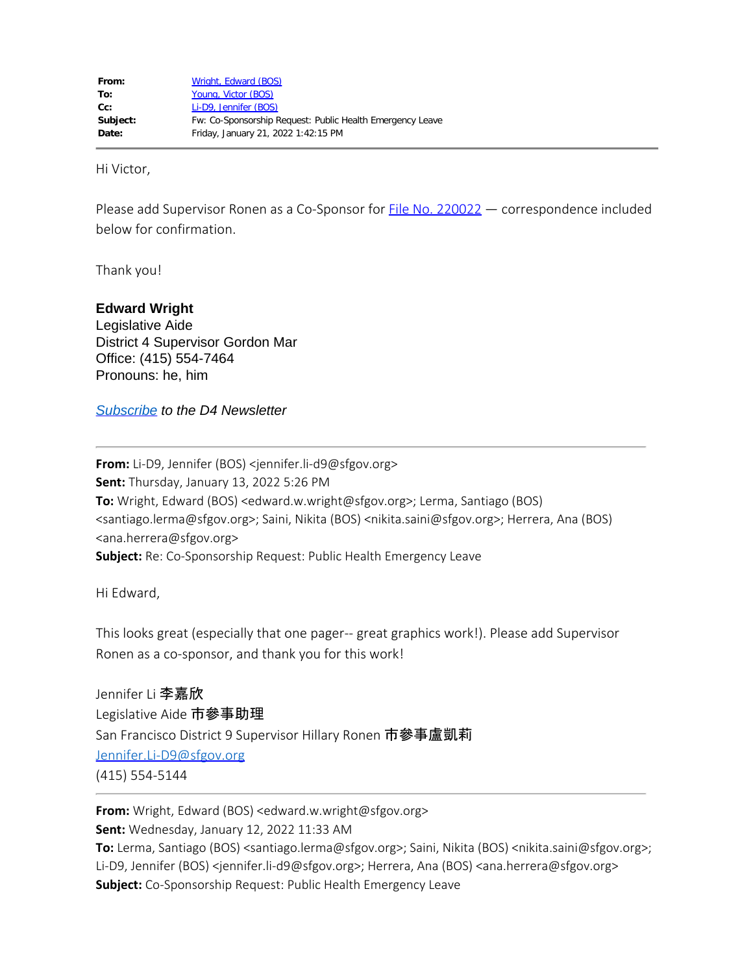Hi Victor,

Please add Supervisor Ronen as a Co-Sponsor for **File No. 220022** — correspondence included below for confirmation.

Thank you!

## **Edward Wright**

Legislative Aide District 4 Supervisor Gordon Mar Office: (415) 554-7464 Pronouns: he, him

*[Subscribe](https://fe3815707564077d701377.pub.s10.sfmc-content.com/ojhrgyzqhfu) to the D4 Newsletter*

**From:** Li-D9, Jennifer (BOS) <jennifer.li-d9@sfgov.org> **Sent:** Thursday, January 13, 2022 5:26 PM **To:** Wright, Edward (BOS) <edward.w.wright@sfgov.org>; Lerma, Santiago (BOS) <santiago.lerma@sfgov.org>; Saini, Nikita (BOS) <nikita.saini@sfgov.org>; Herrera, Ana (BOS) <ana.herrera@sfgov.org> **Subject:** Re: Co-Sponsorship Request: Public Health Emergency Leave

Hi Edward,

This looks great (especially that one pager-- great graphics work!). Please add Supervisor Ronen as a co-sponsor, and thank you for this work!

Jennifer Li 李嘉欣 Legislative Aide 市參事助理 San Francisco District 9 Supervisor Hillary Ronen 市參事盧凱莉 [Jennifer.Li-D9@sfgov.org](mailto:Jennifer.Li-D9@sfgov.org) (415) 554-5144

**From:** Wright, Edward (BOS) <edward.w.wright@sfgov.org> **Sent:** Wednesday, January 12, 2022 11:33 AM To: Lerma, Santiago (BOS) <santiago.lerma@sfgov.org>; Saini, Nikita (BOS) <nikita.saini@sfgov.org>; Li-D9, Jennifer (BOS) <jennifer.li-d9@sfgov.org>; Herrera, Ana (BOS) <ana.herrera@sfgov.org> **Subject:** Co-Sponsorship Request: Public Health Emergency Leave